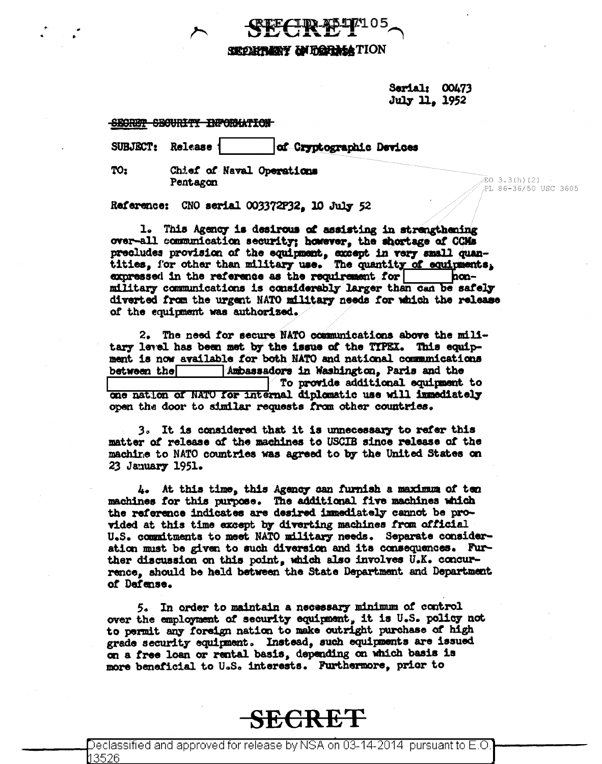

Sarial: 00473 July 11, 1952

SECRET SECURITY INFORMATION

SUBJECT: Release of Cryptographic Devices

TO:

Chief of Naval Operations Pentagon

 $EO$  3.3(h)(2) PL 86-36/50 USC 3605

Reference: CNO serial 003372P32. 10 July 52

1. This Agency is desirous of assisting in strengthening over-all communication security; however, the shortage of CCMs precludes provision of the equipment, except in very small quantities, for other than military use. The quantity of equipments, expressed in the reference as the requirement for honmilitary communications is considerably larger than can be safely diverted from the urgent NATO military needs for which the release of the equipment was authorized.

2. The need for secure NATO communications above the military level has been met by the issue of the TYPEX. This equipment is now available for both NATO and national communications between the Ambassadors in Washington. Paris and the To provide additional equipment to one nation of NATO for internal diplomatic use will immediately open the door to similar requests from other countries.

3. It is considered that it is unnecessary to refer this matter of release of the machines to USCIB since release of the machine to NATO countries was agreed to by the United States on 23 January 1951.

4. At this time, this Agency can furnish a maximum of ten machines for this purpose. The additional five machines which the reference indicates are desired immediately cannot be provided at this time except by diverting machines from official U.S. commitments to meet NATO military needs. Separate consideration must be given to such diversion and its consequences. Further discussion on this point, which also involves U.K. concurrence, should be held between the State Department and Department of Dafense.

5. In order to maintain a necessary minimum of control over the employment of security equipment, it is U.S. policy not to permit any foreign nation to make outright purchase of high grade security equipment. Instead, such equipments are issued on a free loan or rental basis, depending on which basis is more beneficial to U.S. interests. Furthermore, prior to

## **SECRET**